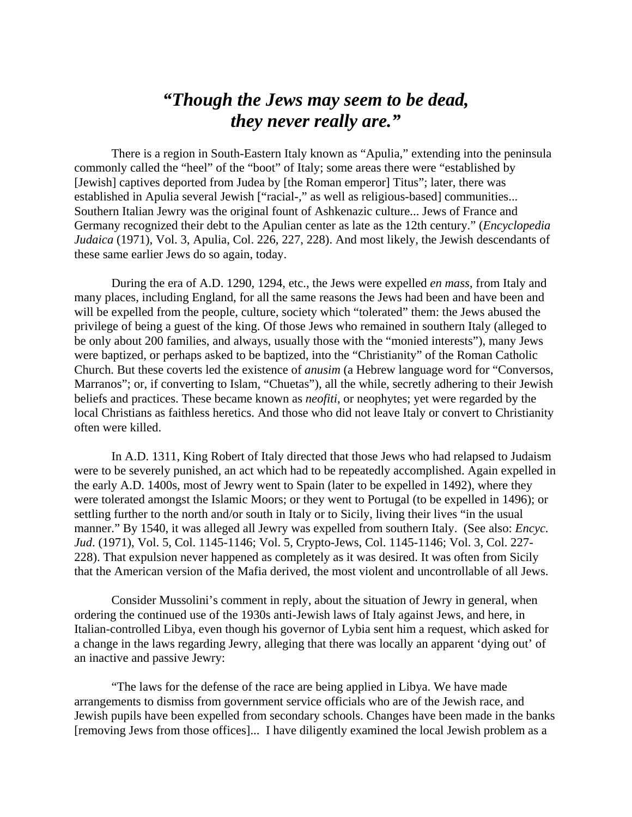## *"Though the Jews may seem to be dead, they never really are."*

There is a region in South-Eastern Italy known as "Apulia," extending into the peninsula commonly called the "heel" of the "boot" of Italy; some areas there were "established by [Jewish] captives deported from Judea by [the Roman emperor] Titus"; later, there was established in Apulia several Jewish ["racial-," as well as religious-based] communities... Southern Italian Jewry was the original fount of Ashkenazic culture... Jews of France and Germany recognized their debt to the Apulian center as late as the 12th century." (*Encyclopedia Judaica* (1971), Vol. 3, Apulia, Col. 226, 227, 228). And most likely, the Jewish descendants of these same earlier Jews do so again, today.

During the era of A.D. 1290, 1294, etc., the Jews were expelled *en mass*, from Italy and many places, including England, for all the same reasons the Jews had been and have been and will be expelled from the people, culture, society which "tolerated" them: the Jews abused the privilege of being a guest of the king. Of those Jews who remained in southern Italy (alleged to be only about 200 families, and always, usually those with the "monied interests"), many Jews were baptized, or perhaps asked to be baptized, into the "Christianity" of the Roman Catholic Church. But these coverts led the existence of *anusim* (a Hebrew language word for "Conversos, Marranos"; or, if converting to Islam, "Chuetas"), all the while, secretly adhering to their Jewish beliefs and practices. These became known as *neofiti*, or neophytes; yet were regarded by the local Christians as faithless heretics. And those who did not leave Italy or convert to Christianity often were killed.

In A.D. 1311, King Robert of Italy directed that those Jews who had relapsed to Judaism were to be severely punished, an act which had to be repeatedly accomplished. Again expelled in the early A.D. 1400s, most of Jewry went to Spain (later to be expelled in 1492), where they were tolerated amongst the Islamic Moors; or they went to Portugal (to be expelled in 1496); or settling further to the north and/or south in Italy or to Sicily, living their lives "in the usual manner." By 1540, it was alleged all Jewry was expelled from southern Italy. (See also: *Encyc. Jud*. (1971), Vol. 5, Col. 1145-1146; Vol. 5, Crypto-Jews, Col. 1145-1146; Vol. 3, Col. 227- 228). That expulsion never happened as completely as it was desired. It was often from Sicily that the American version of the Mafia derived, the most violent and uncontrollable of all Jews.

Consider Mussolini's comment in reply, about the situation of Jewry in general, when ordering the continued use of the 1930s anti-Jewish laws of Italy against Jews, and here, in Italian-controlled Libya, even though his governor of Lybia sent him a request, which asked for a change in the laws regarding Jewry, alleging that there was locally an apparent 'dying out' of an inactive and passive Jewry:

"The laws for the defense of the race are being applied in Libya. We have made arrangements to dismiss from government service officials who are of the Jewish race, and Jewish pupils have been expelled from secondary schools. Changes have been made in the banks [removing Jews from those offices]... I have diligently examined the local Jewish problem as a